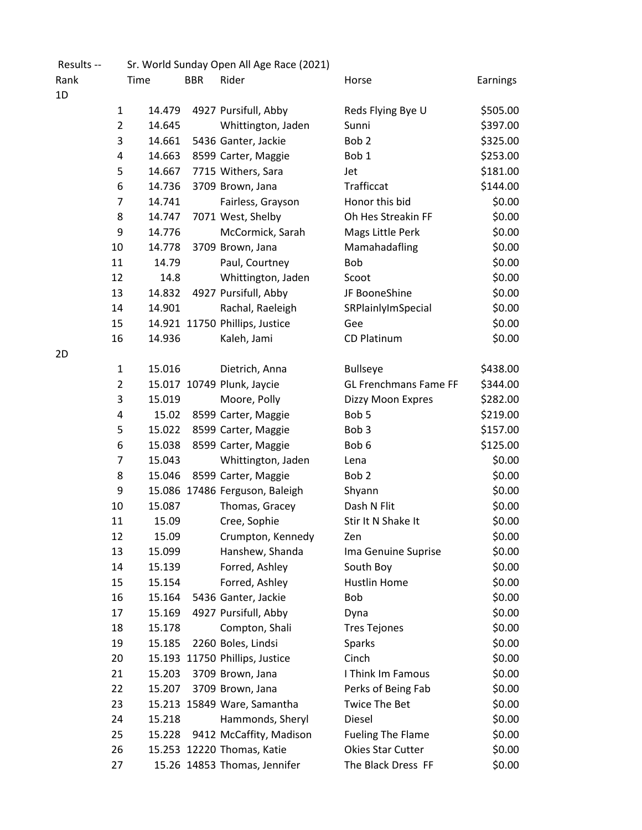| Results --     | Sr. World Sunday Open All Age Race (2021) |            |                                |                              |          |
|----------------|-------------------------------------------|------------|--------------------------------|------------------------------|----------|
| Rank           | Time                                      | <b>BBR</b> | Rider                          | Horse                        | Earnings |
| 1D             |                                           |            |                                |                              |          |
| 1              | 14.479                                    |            | 4927 Pursifull, Abby           | Reds Flying Bye U            | \$505.00 |
|                | $\overline{2}$<br>14.645                  |            | Whittington, Jaden             | Sunni                        | \$397.00 |
|                | 3<br>14.661                               |            | 5436 Ganter, Jackie            | Bob <sub>2</sub>             | \$325.00 |
| 4              | 14.663                                    |            | 8599 Carter, Maggie            | Bob <sub>1</sub>             | \$253.00 |
| 5              | 14.667                                    |            | 7715 Withers, Sara             | Jet                          | \$181.00 |
| 6              | 14.736                                    |            | 3709 Brown, Jana               | Trafficcat                   | \$144.00 |
| 7              | 14.741                                    |            | Fairless, Grayson              | Honor this bid               | \$0.00   |
| 8              | 14.747                                    |            | 7071 West, Shelby              | Oh Hes Streakin FF           | \$0.00   |
| 9              | 14.776                                    |            | McCormick, Sarah               | Mags Little Perk             | \$0.00   |
| 10             | 14.778                                    |            | 3709 Brown, Jana               | Mamahadafling                | \$0.00   |
| 11             | 14.79                                     |            | Paul, Courtney                 | Bob                          | \$0.00   |
| 12             | 14.8                                      |            | Whittington, Jaden             | Scoot                        | \$0.00   |
| 13             | 14.832                                    |            | 4927 Pursifull, Abby           | JF BooneShine                | \$0.00   |
| 14             | 14.901                                    |            | Rachal, Raeleigh               | SRPlainlyImSpecial           | \$0.00   |
| 15             |                                           |            | 14.921 11750 Phillips, Justice | Gee                          | \$0.00   |
| 16             | 14.936                                    |            | Kaleh, Jami                    | <b>CD Platinum</b>           | \$0.00   |
| 2D             |                                           |            |                                |                              |          |
|                | 15.016<br>$\mathbf{1}$                    |            | Dietrich, Anna                 | <b>Bullseye</b>              | \$438.00 |
| $\overline{2}$ |                                           |            | 15.017 10749 Plunk, Jaycie     | <b>GL Frenchmans Fame FF</b> | \$344.00 |
|                | 3<br>15.019                               |            | Moore, Polly                   | Dizzy Moon Expres            | \$282.00 |
| 4              | 15.02                                     |            | 8599 Carter, Maggie            | Bob 5                        | \$219.00 |
| 5              | 15.022                                    |            | 8599 Carter, Maggie            | Bob <sub>3</sub>             | \$157.00 |
| 6              | 15.038                                    |            | 8599 Carter, Maggie            | Bob <sub>6</sub>             | \$125.00 |
| 7              | 15.043                                    |            | Whittington, Jaden             | Lena                         | \$0.00   |
| 8              | 15.046                                    |            | 8599 Carter, Maggie            | Bob <sub>2</sub>             | \$0.00   |
| 9              |                                           |            | 15.086 17486 Ferguson, Baleigh | Shyann                       | \$0.00   |
| 10             | 15.087                                    |            | Thomas, Gracey                 | Dash N Flit                  | \$0.00   |
| 11             | 15.09                                     |            | Cree, Sophie                   | Stir It N Shake It           | \$0.00   |
| 12             | 15.09                                     |            | Crumpton, Kennedy              | Zen                          | \$0.00   |
| 13             | 15.099                                    |            | Hanshew, Shanda                | Ima Genuine Suprise          | \$0.00   |
| 14             | 15.139                                    |            | Forred, Ashley                 | South Boy                    | \$0.00   |
| 15             | 15.154                                    |            | Forred, Ashley                 | <b>Hustlin Home</b>          | \$0.00   |
| 16             | 15.164                                    |            | 5436 Ganter, Jackie            | Bob                          | \$0.00   |
| 17             | 15.169                                    |            | 4927 Pursifull, Abby           | Dyna                         | \$0.00   |
| 18             | 15.178                                    |            | Compton, Shali                 | <b>Tres Tejones</b>          | \$0.00   |
| 19             | 15.185                                    |            | 2260 Boles, Lindsi             | <b>Sparks</b>                | \$0.00   |
| 20             |                                           |            | 15.193 11750 Phillips, Justice | Cinch                        | \$0.00   |
| 21             | 15.203                                    |            | 3709 Brown, Jana               | I Think Im Famous            | \$0.00   |
| 22             | 15.207                                    |            | 3709 Brown, Jana               | Perks of Being Fab           | \$0.00   |
| 23             |                                           |            | 15.213 15849 Ware, Samantha    | <b>Twice The Bet</b>         | \$0.00   |
| 24             | 15.218                                    |            | Hammonds, Sheryl               | Diesel                       | \$0.00   |
| 25             | 15.228                                    |            | 9412 McCaffity, Madison        | <b>Fueling The Flame</b>     | \$0.00   |
| 26             |                                           |            | 15.253 12220 Thomas, Katie     | <b>Okies Star Cutter</b>     | \$0.00   |
| 27             |                                           |            | 15.26 14853 Thomas, Jennifer   | The Black Dress FF           | \$0.00   |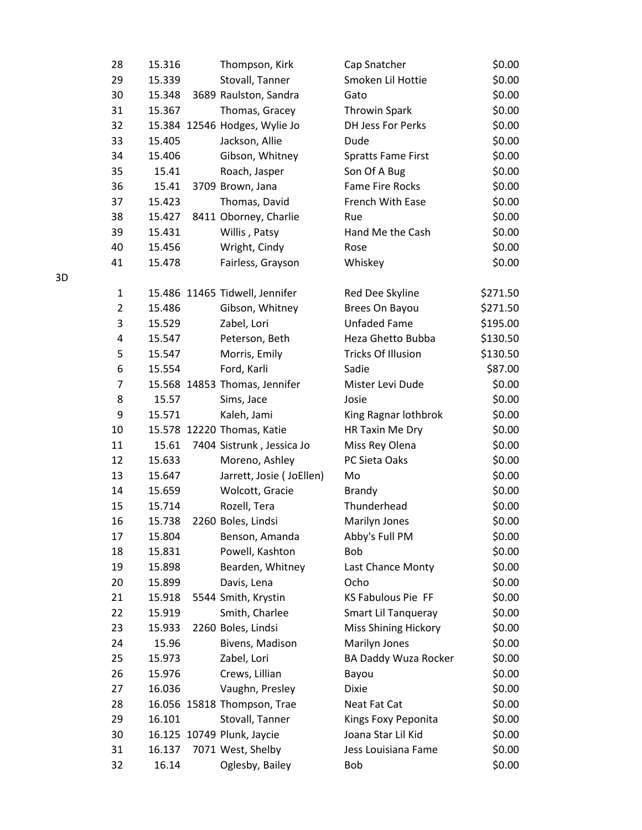| 28             | 15.316 | Thompson, Kirk                 | Cap Snatcher                | \$0.00   |
|----------------|--------|--------------------------------|-----------------------------|----------|
| 29             | 15.339 | Stovall, Tanner                | Smoken Lil Hottie           | \$0.00   |
| 30             | 15.348 | 3689 Raulston, Sandra          | Gato                        | \$0.00   |
| 31             | 15.367 | Thomas, Gracey                 | <b>Throwin Spark</b>        | \$0.00   |
| 32             |        | 15.384 12546 Hodges, Wylie Jo  | DH Jess For Perks           | \$0.00   |
| 33             | 15.405 | Jackson, Allie                 | Dude                        | \$0.00   |
| 34             | 15.406 | Gibson, Whitney                | <b>Spratts Fame First</b>   | \$0.00   |
| 35             | 15.41  | Roach, Jasper                  | Son Of A Bug                | \$0.00   |
| 36             | 15.41  | 3709 Brown, Jana               | <b>Fame Fire Rocks</b>      | \$0.00   |
| 37             | 15.423 | Thomas, David                  | <b>French With Ease</b>     | \$0.00   |
| 38             | 15.427 | 8411 Oborney, Charlie          | Rue                         | \$0.00   |
| 39             | 15.431 | Willis, Patsy                  | Hand Me the Cash            | \$0.00   |
| 40             | 15.456 | Wright, Cindy                  | Rose                        | \$0.00   |
| 41             | 15.478 | Fairless, Grayson              | Whiskey                     | \$0.00   |
| 1              |        | 15.486 11465 Tidwell, Jennifer | Red Dee Skyline             | \$271.50 |
| $\overline{2}$ | 15.486 | Gibson, Whitney                | Brees On Bayou              | \$271.50 |
| 3              | 15.529 | Zabel, Lori                    | <b>Unfaded Fame</b>         | \$195.00 |
| 4              | 15.547 | Peterson, Beth                 | Heza Ghetto Bubba           | \$130.50 |
| 5              | 15.547 | Morris, Emily                  | <b>Tricks Of Illusion</b>   | \$130.50 |
| 6              | 15.554 | Ford, Karli                    | Sadie                       | \$87.00  |
| $\overline{7}$ |        | 15.568 14853 Thomas, Jennifer  | Mister Levi Dude            | \$0.00   |
| 8              | 15.57  | Sims, Jace                     | Josie                       | \$0.00   |
| 9              | 15.571 | Kaleh, Jami                    | King Ragnar lothbrok        | \$0.00   |
| 10             |        | 15.578 12220 Thomas, Katie     | HR Taxin Me Dry             | \$0.00   |
| 11             | 15.61  | 7404 Sistrunk, Jessica Jo      | Miss Rey Olena              | \$0.00   |
| 12             | 15.633 | Moreno, Ashley                 | PC Sieta Oaks               | \$0.00   |
| 13             | 15.647 | Jarrett, Josie (JoEllen)       | Mo                          | \$0.00   |
| 14             | 15.659 | Wolcott, Gracie                | <b>Brandy</b>               | \$0.00   |
| 15             | 15.714 | Rozell, Tera                   | Thunderhead                 | \$0.00   |
| 16             | 15.738 | 2260 Boles, Lindsi             | Marilyn Jones               | \$0.00   |
| 17             | 15.804 | Benson, Amanda                 | Abby's Full PM              | \$0.00   |
| 18             | 15.831 | Powell, Kashton                | Bob                         | \$0.00   |
| 19             | 15.898 | Bearden, Whitney               | Last Chance Monty           | \$0.00   |
| 20             | 15.899 | Davis, Lena                    | Ocho                        | \$0.00   |
| 21             | 15.918 | 5544 Smith, Krystin            | KS Fabulous Pie FF          | \$0.00   |
| 22             | 15.919 | Smith, Charlee                 | Smart Lil Tanqueray         | \$0.00   |
| 23             | 15.933 | 2260 Boles, Lindsi             | <b>Miss Shining Hickory</b> | \$0.00   |
| 24             | 15.96  | Bivens, Madison                | Marilyn Jones               | \$0.00   |
| 25             | 15.973 | Zabel, Lori                    | BA Daddy Wuza Rocker        | \$0.00   |
| 26             | 15.976 | Crews, Lillian                 | Bayou                       | \$0.00   |
| 27             | 16.036 | Vaughn, Presley                | <b>Dixie</b>                | \$0.00   |
| 28             |        | 16.056 15818 Thompson, Trae    | Neat Fat Cat                | \$0.00   |
| 29             | 16.101 | Stovall, Tanner                | Kings Foxy Peponita         | \$0.00   |
| 30             |        | 16.125 10749 Plunk, Jaycie     | Joana Star Lil Kid          | \$0.00   |
| 31             | 16.137 | 7071 West, Shelby              | Jess Louisiana Fame         | \$0.00   |
| 32             | 16.14  | Oglesby, Bailey                | Bob                         | \$0.00   |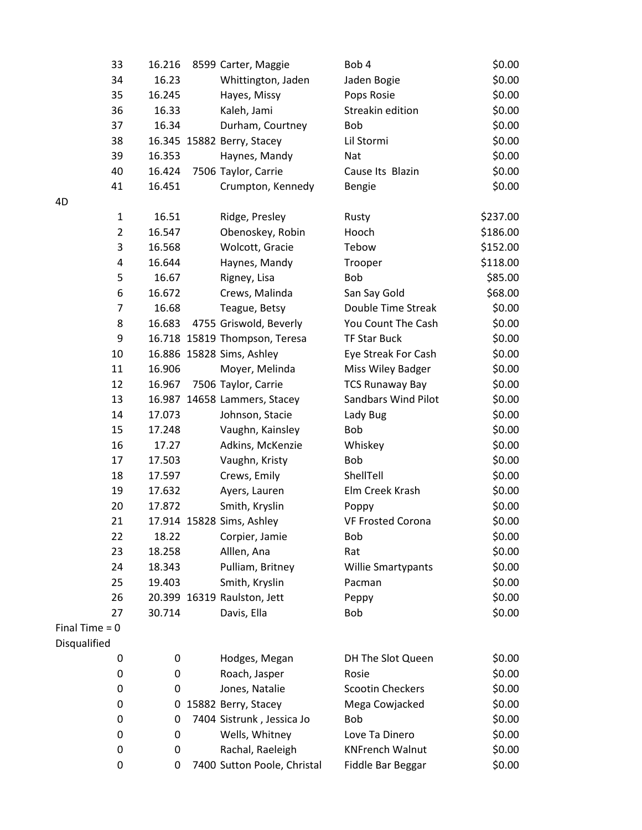| 33               | 16.216 | 8599 Carter, Maggie           | Bob 4                      | \$0.00   |
|------------------|--------|-------------------------------|----------------------------|----------|
| 34               | 16.23  | Whittington, Jaden            | Jaden Bogie                | \$0.00   |
| 35               | 16.245 | Hayes, Missy                  | Pops Rosie                 | \$0.00   |
| 36               | 16.33  | Kaleh, Jami                   | Streakin edition           | \$0.00   |
| 37               | 16.34  | Durham, Courtney              | Bob                        | \$0.00   |
| 38               |        | 16.345 15882 Berry, Stacey    | Lil Stormi                 | \$0.00   |
| 39               | 16.353 | Haynes, Mandy                 | Nat                        | \$0.00   |
| 40               | 16.424 | 7506 Taylor, Carrie           | Cause Its Blazin           | \$0.00   |
| 41               | 16.451 | Crumpton, Kennedy             | <b>Bengie</b>              | \$0.00   |
| 4D               |        |                               |                            |          |
| $\mathbf{1}$     | 16.51  | Ridge, Presley                | Rusty                      | \$237.00 |
| $\overline{2}$   | 16.547 | Obenoskey, Robin              | Hooch                      | \$186.00 |
| 3                | 16.568 | Wolcott, Gracie               | Tebow                      | \$152.00 |
| 4                | 16.644 | Haynes, Mandy                 | Trooper                    | \$118.00 |
| 5                | 16.67  | Rigney, Lisa                  | Bob                        | \$85.00  |
| 6                | 16.672 | Crews, Malinda                | San Say Gold               | \$68.00  |
| $\overline{7}$   | 16.68  | Teague, Betsy                 | Double Time Streak         | \$0.00   |
| 8                | 16.683 | 4755 Griswold, Beverly        | You Count The Cash         | \$0.00   |
| 9                |        | 16.718 15819 Thompson, Teresa | <b>TF Star Buck</b>        | \$0.00   |
| 10               |        | 16.886 15828 Sims, Ashley     | Eye Streak For Cash        | \$0.00   |
| 11               | 16.906 | Moyer, Melinda                | Miss Wiley Badger          | \$0.00   |
| 12               | 16.967 | 7506 Taylor, Carrie           | <b>TCS Runaway Bay</b>     | \$0.00   |
| 13               |        | 16.987 14658 Lammers, Stacey  | <b>Sandbars Wind Pilot</b> | \$0.00   |
| 14               | 17.073 | Johnson, Stacie               | Lady Bug                   | \$0.00   |
| 15               | 17.248 | Vaughn, Kainsley              | Bob                        | \$0.00   |
| 16               | 17.27  | Adkins, McKenzie              | Whiskey                    | \$0.00   |
| 17               | 17.503 | Vaughn, Kristy                | Bob                        | \$0.00   |
| 18               | 17.597 | Crews, Emily                  | ShellTell                  | \$0.00   |
| 19               | 17.632 | Ayers, Lauren                 | Elm Creek Krash            | \$0.00   |
| 20               | 17.872 | Smith, Kryslin                | Poppy                      | \$0.00   |
| 21               |        | 17.914 15828 Sims, Ashley     | <b>VF Frosted Corona</b>   | \$0.00   |
| 22               | 18.22  | Corpier, Jamie                | Bob                        | \$0.00   |
| 23               | 18.258 | Alllen, Ana                   | Rat                        | \$0.00   |
| 24               | 18.343 | Pulliam, Britney              | Willie Smartypants         | \$0.00   |
| 25               | 19.403 | Smith, Kryslin                | Pacman                     | \$0.00   |
| 26               |        | 20.399 16319 Raulston, Jett   | Peppy                      | \$0.00   |
| 27               | 30.714 | Davis, Ella                   | Bob                        | \$0.00   |
| Final Time $= 0$ |        |                               |                            |          |
| Disqualified     |        |                               |                            |          |
| 0                | 0      | Hodges, Megan                 | DH The Slot Queen          | \$0.00   |
| 0                | 0      | Roach, Jasper                 | Rosie                      | \$0.00   |
| 0                | 0      | Jones, Natalie                | <b>Scootin Checkers</b>    | \$0.00   |
| 0                | 0      | 15882 Berry, Stacey           | Mega Cowjacked             | \$0.00   |
| 0                | 0      | 7404 Sistrunk, Jessica Jo     | Bob                        | \$0.00   |
| 0                | 0      | Wells, Whitney                | Love Ta Dinero             | \$0.00   |
| 0                | 0      | Rachal, Raeleigh              | <b>KNFrench Walnut</b>     | \$0.00   |
| 0                | 0      | 7400 Sutton Poole, Christal   | Fiddle Bar Beggar          | \$0.00   |
|                  |        |                               |                            |          |